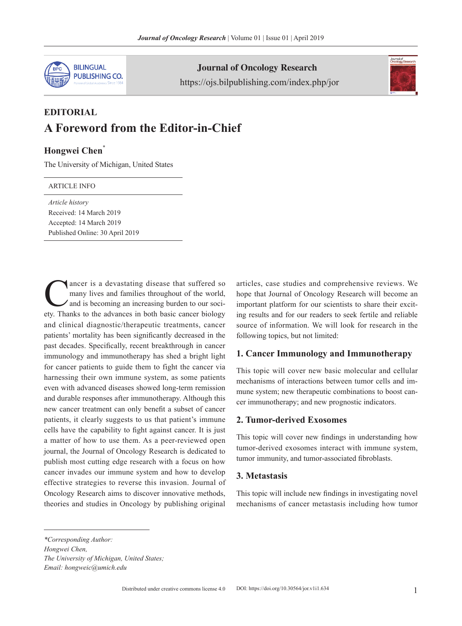

Journal of Oncology Research https://ojs.bilpublishing.com/index.php/jor



# **EDITORIAL A Foreword from the Editor-in-Chief**

## **Hongwei Chen**\*

The University of Michigan, United States

#### ARTICLE INFO

*Article history* Received: 14 March 2019 Accepted: 14 March 2019 Published Online: 30 April 2019

ancer is a devastating disease that suffered so many lives and families throughout of the world, and is becoming an increasing burden to our society. Thanks to the advances in both basic cancer biology and clinical diagnostic/therapeutic treatments, cancer patients' mortality has been significantly decreased in the past decades. Specifically, recent breakthrough in cancer immunology and immunotherapy has shed a bright light for cancer patients to guide them to fight the cancer via harnessing their own immune system, as some patients even with advanced diseases showed long-term remission and durable responses after immunotherapy. Although this new cancer treatment can only benefit a subset of cancer patients, it clearly suggests to us that patient's immune cells have the capability to fight against cancer. It is just a matter of how to use them. As a peer-reviewed open journal, the Journal of Oncology Research is dedicated to publish most cutting edge research with a focus on how cancer invades our immune system and how to develop effective strategies to reverse this invasion. Journal of Oncology Research aims to discover innovative methods, theories and studies in Oncology by publishing original

articles, case studies and comprehensive reviews. We hope that Journal of Oncology Research will become an important platform for our scientists to share their exciting results and for our readers to seek fertile and reliable source of information. We will look for research in the following topics, but not limited:

### **1. Cancer Immunology and Immunotherapy**

This topic will cover new basic molecular and cellular mechanisms of interactions between tumor cells and immune system; new therapeutic combinations to boost cancer immunotherapy; and new prognostic indicators.

#### **2. Tumor-derived Exosomes**

This topic will cover new findings in understanding how tumor-derived exosomes interact with immune system, tumor immunity, and tumor-associated fibroblasts.

#### **3. Metastasis**

This topic will include new findings in investigating novel mechanisms of cancer metastasis including how tumor

*<sup>\*</sup>Corresponding Author: Hongwei Chen,*

*The University of Michigan, United States; Email: hongweic@umich.edu*